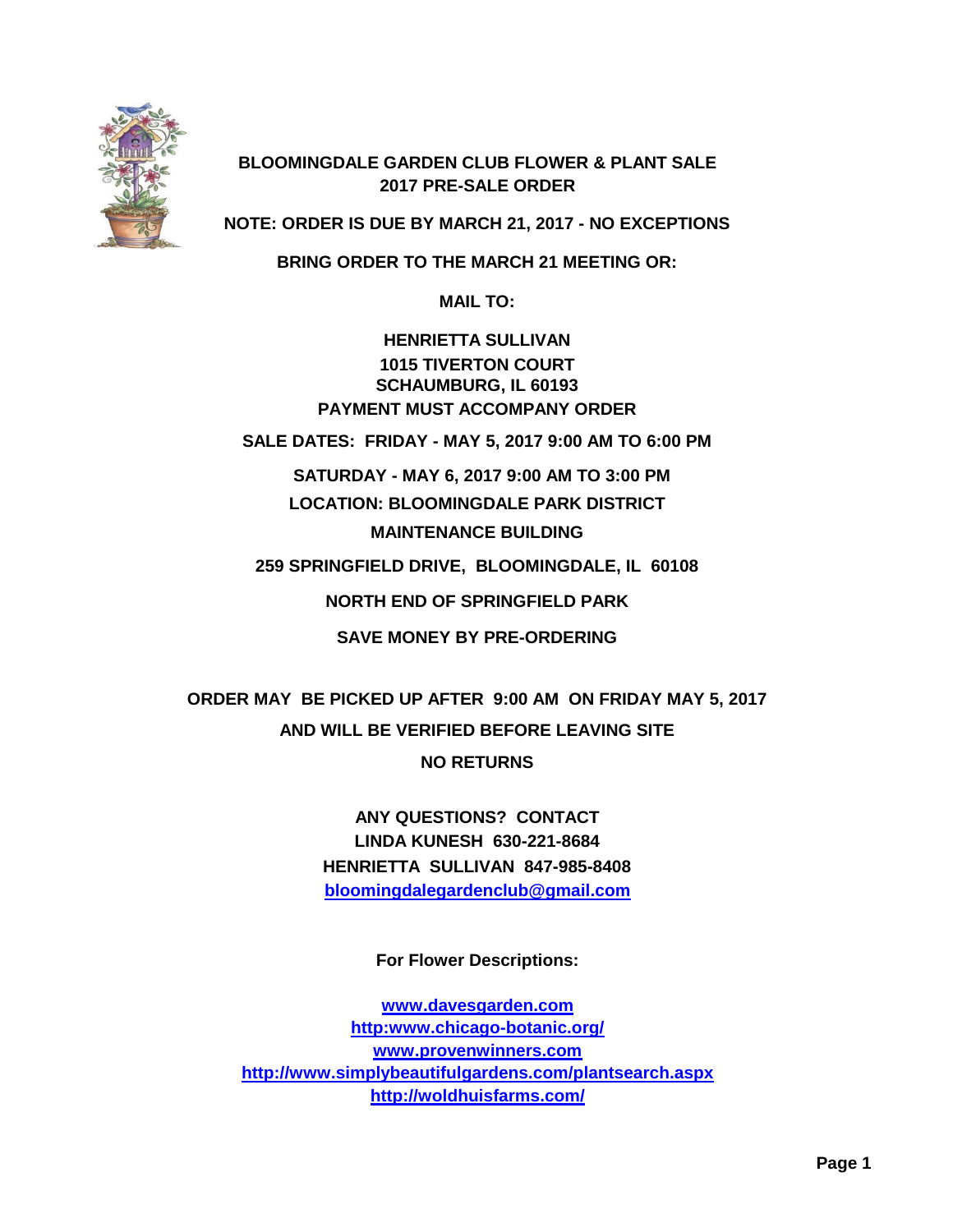

## **BLOOMINGDALE GARDEN CLUB FLOWER & PLANT SALE 2017 PRE-SALE ORDER**

**NOTE: ORDER IS DUE BY MARCH 21, 2017 - NO EXCEPTIONS**

**BRING ORDER TO THE MARCH 21 MEETING OR:**

**MAIL TO:**

**HENRIETTA SULLIVAN 1015 TIVERTON COURT SCHAUMBURG, IL 60193 PAYMENT MUST ACCOMPANY ORDER**

**SALE DATES: FRIDAY - MAY 5, 2017 9:00 AM TO 6:00 PM**

 **SATURDAY - MAY 6, 2017 9:00 AM TO 3:00 PM LOCATION: BLOOMINGDALE PARK DISTRICT MAINTENANCE BUILDING**

**259 SPRINGFIELD DRIVE, BLOOMINGDALE, IL 60108**

**NORTH END OF SPRINGFIELD PARK**

**SAVE MONEY BY PRE-ORDERING**

**ORDER MAY BE PICKED UP AFTER 9:00 AM ON FRIDAY MAY 5, 2017 AND WILL BE VERIFIED BEFORE LEAVING SITE NO RETURNS**

> **ANY QUESTIONS? CONTACT LINDA KUNESH 630-221-8684 HENRIETTA SULLIVAN 847-985-8408 [bloomingdalegardenclub@gmail.com](mailto:bloomingdalegardenclub@gmail.com)**

> > **For Flower Descriptions:**

**[www.davesgarden.com](http://www.davesgarden.com/) [http:www.chicago-botanic.org/](http://www.davesgarden.com/) [www.provenwinners.com](http://www.provenwinners.com/) <http://www.simplybeautifulgardens.com/plantsearch.aspx> <http://woldhuisfarms.com/>**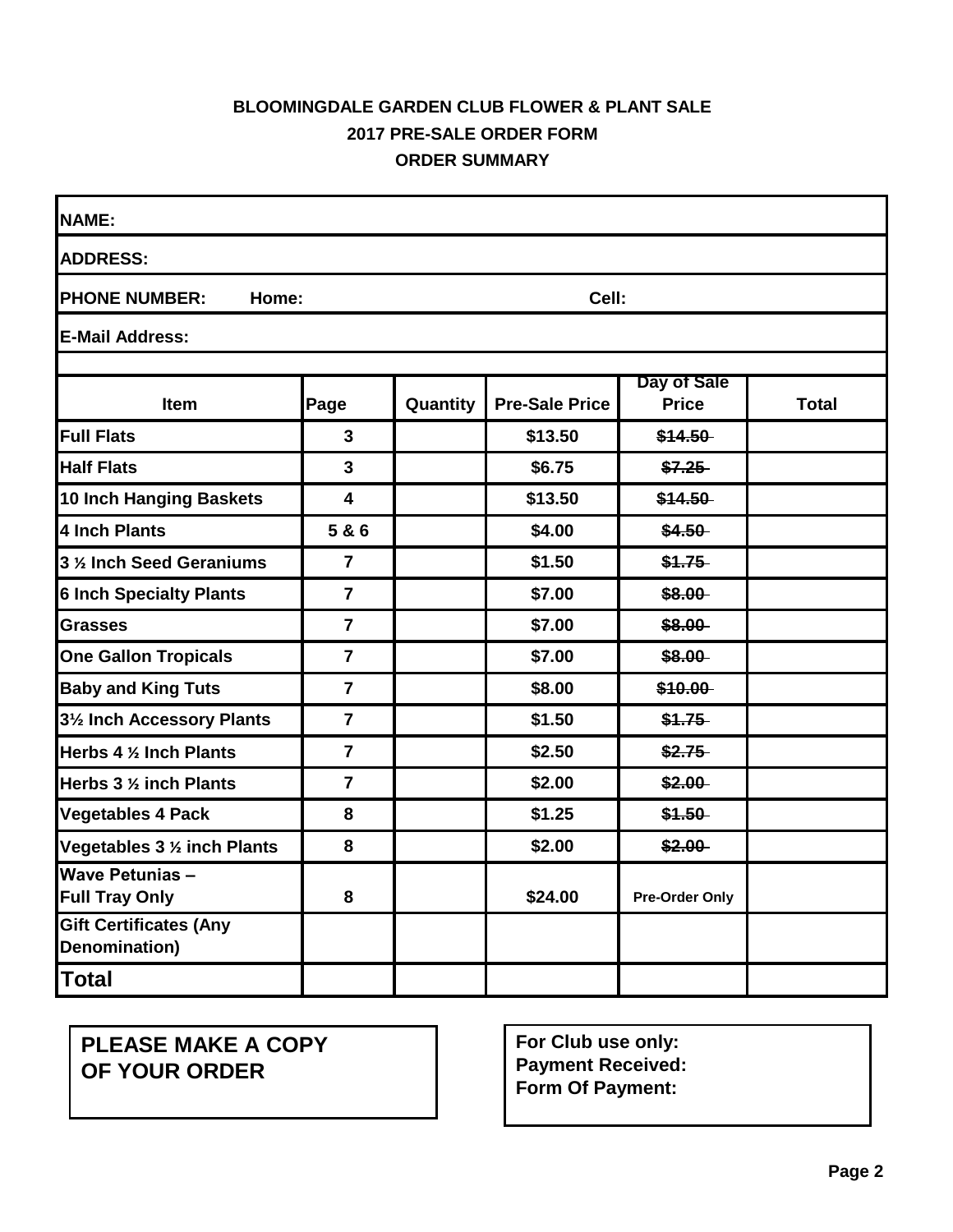## **BLOOMINGDALE GARDEN CLUB FLOWER & PLANT SALE 2017 PRE-SALE ORDER FORM ORDER SUMMARY**

| <b>NAME:</b>                                    |                         |          |                       |                             |              |
|-------------------------------------------------|-------------------------|----------|-----------------------|-----------------------------|--------------|
| <b>ADDRESS:</b>                                 |                         |          |                       |                             |              |
| <b>PHONE NUMBER:</b><br>Home:                   |                         |          | Cell:                 |                             |              |
| <b>E-Mail Address:</b>                          |                         |          |                       |                             |              |
|                                                 |                         |          |                       |                             |              |
| Item                                            | Page                    | Quantity | <b>Pre-Sale Price</b> | Day of Sale<br><b>Price</b> | <b>Total</b> |
| <b>Full Flats</b>                               | 3                       |          | \$13.50               | \$14.50                     |              |
| <b>Half Flats</b>                               | $\mathbf{3}$            |          | \$6.75                | \$7.25                      |              |
| 10 Inch Hanging Baskets                         | $\overline{\mathbf{4}}$ |          | \$13.50               | \$14.50                     |              |
| 4 Inch Plants                                   | 5&6                     |          | \$4.00                | \$4.50                      |              |
| 3 % Inch Seed Geraniums                         | $\overline{7}$          |          | \$1.50                | \$1.75                      |              |
| <b>6 Inch Specialty Plants</b>                  | $\overline{7}$          |          | \$7.00                | \$8.00                      |              |
| <b>Grasses</b>                                  | $\overline{7}$          |          | \$7.00                | \$8.00                      |              |
| <b>One Gallon Tropicals</b>                     | $\overline{7}$          |          | \$7.00                | \$8.00                      |              |
| <b>Baby and King Tuts</b>                       | $\overline{7}$          |          | \$8.00                | \$10.00                     |              |
| 31/2 Inch Accessory Plants                      | $\overline{7}$          |          | \$1.50                | \$1.75                      |              |
| Herbs 4 % Inch Plants                           | $\overline{7}$          |          | \$2.50                | \$2.75                      |              |
| Herbs 3 % inch Plants                           | $\overline{7}$          |          | \$2.00                | \$2.00                      |              |
| <b>Vegetables 4 Pack</b>                        | 8                       |          | \$1.25                | \$1.50                      |              |
| Vegetables 3 % inch Plants                      | 8                       |          | \$2.00                | \$2.00                      |              |
| <b>Wave Petunias -</b><br><b>Full Tray Only</b> | 8                       |          | \$24.00               | <b>Pre-Order Only</b>       |              |
| <b>Gift Certificates (Any</b><br>Denomination)  |                         |          |                       |                             |              |
| Total                                           |                         |          |                       |                             |              |

**PLEASE MAKE A COPY OF YOUR ORDER**

**For Club use only: Payment Received: Form Of Payment:**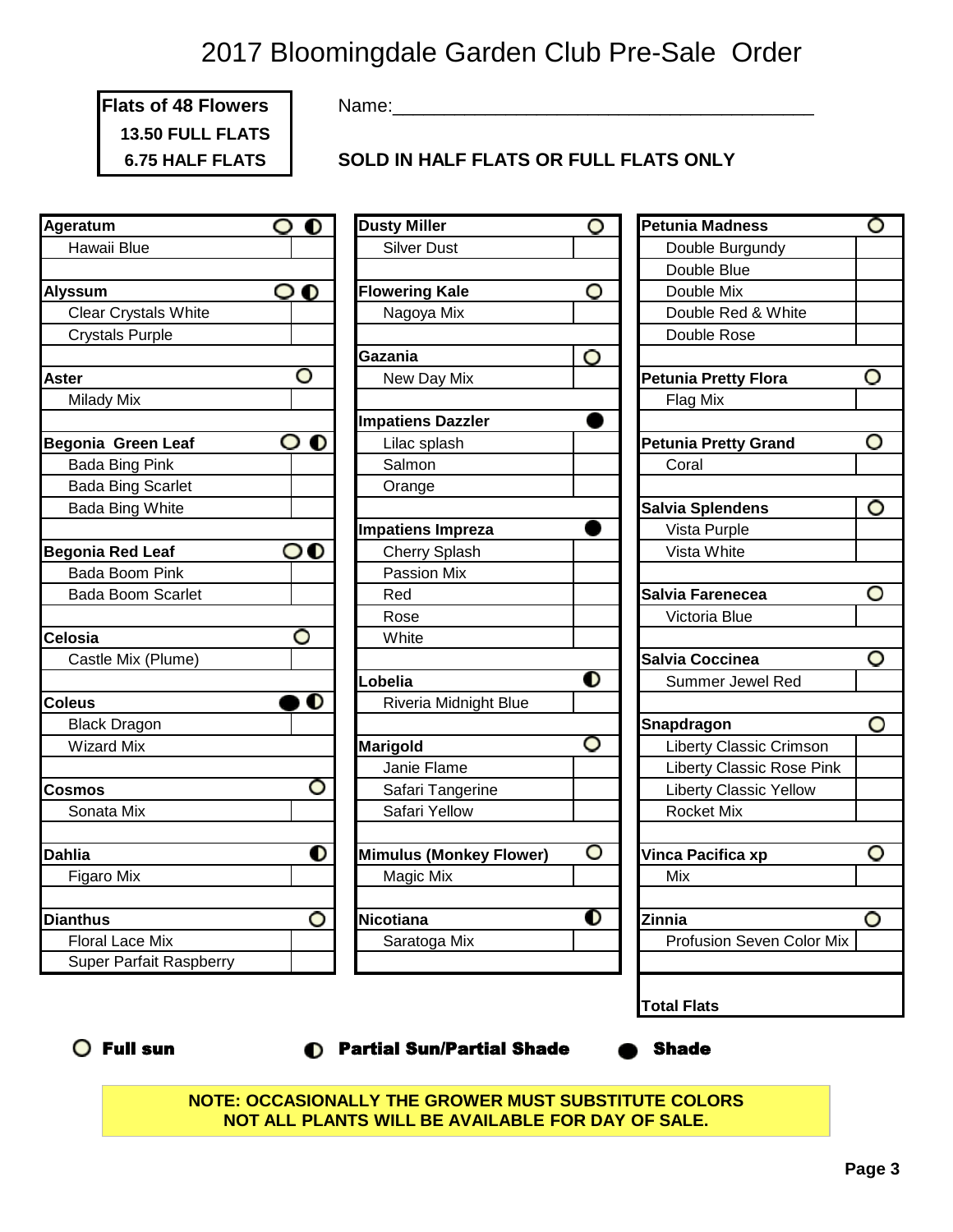**Flats of 48 Flowers 13.50 FULL FLATS**

Name:\_\_\_\_\_\_\_\_\_\_\_\_\_\_\_\_\_\_\_\_\_\_\_\_\_\_\_\_\_\_\_\_\_\_\_\_\_\_\_\_\_

**6.75 HALF FLATS SOLD IN HALF FLATS OR FULL FLATS ONLY**

| O | <b>Dusty Miller</b>                                            |
|---|----------------------------------------------------------------|
|   | <b>Silver Dust</b>                                             |
|   |                                                                |
|   | <b>Flowering Kale</b>                                          |
|   | Nagoya Mix                                                     |
|   |                                                                |
|   | Gazania                                                        |
|   | New Day Mix                                                    |
|   |                                                                |
|   | <b>Impatiens Dazzler</b>                                       |
| O | Lilac splash                                                   |
|   | Salmon                                                         |
|   | Orange                                                         |
|   |                                                                |
|   | <b>Impatiens Impreza</b>                                       |
|   | <b>Cherry Splash</b>                                           |
|   | Passion Mix                                                    |
|   | Red                                                            |
|   | Rose                                                           |
|   | White                                                          |
|   |                                                                |
|   | Lobelia                                                        |
|   | Riveria Midnight Blue                                          |
|   |                                                                |
|   | <b>Marigold</b>                                                |
|   | Janie Flame                                                    |
|   | Safari Tangerine                                               |
|   | Safari Yellow                                                  |
|   |                                                                |
| D | <b>Mimulus (Monkey Flower)</b>                                 |
|   | Magic Mix                                                      |
|   |                                                                |
| O | <b>Nicotiana</b>                                               |
|   | Saratoga Mix                                                   |
|   |                                                                |
|   | $\mathbf{\circ}\,\mathbf{o}$<br>O<br>O<br>00<br>$\bullet$<br>O |

| Ageratum                       | $\bullet$<br>O             | <b>Dusty Miller</b>              | O | <b>Petunia Madness</b>           |
|--------------------------------|----------------------------|----------------------------------|---|----------------------------------|
| Hawaii Blue                    |                            | <b>Silver Dust</b>               |   | Double Burgundy                  |
|                                |                            |                                  |   | Double Blue                      |
| <b>Alyssum</b>                 | $\mathbf{o} \, \mathbf{o}$ | <b>Flowering Kale</b>            | O | Double Mix                       |
| <b>Clear Crystals White</b>    |                            | Nagoya Mix                       |   | Double Red & White               |
| <b>Crystals Purple</b>         |                            |                                  |   | Double Rose                      |
|                                |                            | Gazania                          | O |                                  |
| Aster                          | O                          | New Day Mix                      |   | <b>Petunia Pretty Flora</b>      |
| <b>Milady Mix</b>              |                            |                                  |   | Flag Mix                         |
|                                |                            | <b>Impatiens Dazzler</b>         |   |                                  |
| <b>Begonia Green Leaf</b>      | $\bullet$ o                | Lilac splash                     |   | <b>Petunia Pretty Grand</b>      |
| Bada Bing Pink                 |                            | Salmon                           |   | Coral                            |
| <b>Bada Bing Scarlet</b>       |                            | Orange                           |   |                                  |
| <b>Bada Bing White</b>         |                            |                                  |   | Salvia Splendens                 |
|                                |                            | <b>Impatiens Impreza</b>         |   | Vista Purple                     |
| <b>Begonia Red Leaf</b>        | 00                         | <b>Cherry Splash</b>             |   | Vista White                      |
| Bada Boom Pink                 |                            | Passion Mix                      |   |                                  |
| <b>Bada Boom Scarlet</b>       |                            | Red                              |   | Salvia Farenecea                 |
|                                |                            | Rose                             |   | Victoria Blue                    |
| Celosia                        | O                          | White                            |   |                                  |
| Castle Mix (Plume)             |                            |                                  |   | Salvia Coccinea                  |
|                                |                            | Lobelia                          | O | Summer Jewel Red                 |
| <b>Coleus</b>                  | ÐО                         | Riveria Midnight Blue            |   |                                  |
| <b>Black Dragon</b>            |                            |                                  |   | Snapdragon                       |
| <b>Wizard Mix</b>              |                            | <b>Marigold</b>                  | O | <b>Liberty Classic Crimson</b>   |
|                                |                            | Janie Flame                      |   | <b>Liberty Classic Rose Pink</b> |
| Cosmos                         | O                          | Safari Tangerine                 |   | <b>Liberty Classic Yellow</b>    |
| Sonata Mix                     |                            | Safari Yellow                    |   | Rocket Mix                       |
|                                |                            |                                  |   |                                  |
| <b>Dahlia</b>                  | O                          | <b>Mimulus (Monkey Flower)</b>   | O | Vinca Pacifica xp                |
| Figaro Mix                     |                            | Magic Mix                        |   | Mix                              |
|                                |                            |                                  |   |                                  |
| <b>Dianthus</b>                | O                          | Nicotiana                        | 0 | Zinnia                           |
| <b>Floral Lace Mix</b>         |                            | Saratoga Mix                     |   | Profusion Seven Color Mix        |
| <b>Super Parfait Raspberry</b> |                            |                                  |   |                                  |
|                                |                            |                                  |   | <b>Total Flats</b>               |
| $\bigcirc$ Full sun            |                            | <b>Partial Sun/Partial Shade</b> |   | <b>Shade</b>                     |

**NOTE: OCCASIONALLY THE GROWER MUST SUBSTITUTE COLORS NOT ALL PLANTS WILL BE AVAILABLE FOR DAY OF SALE.**

O

O

O

O

O

O

O

O

O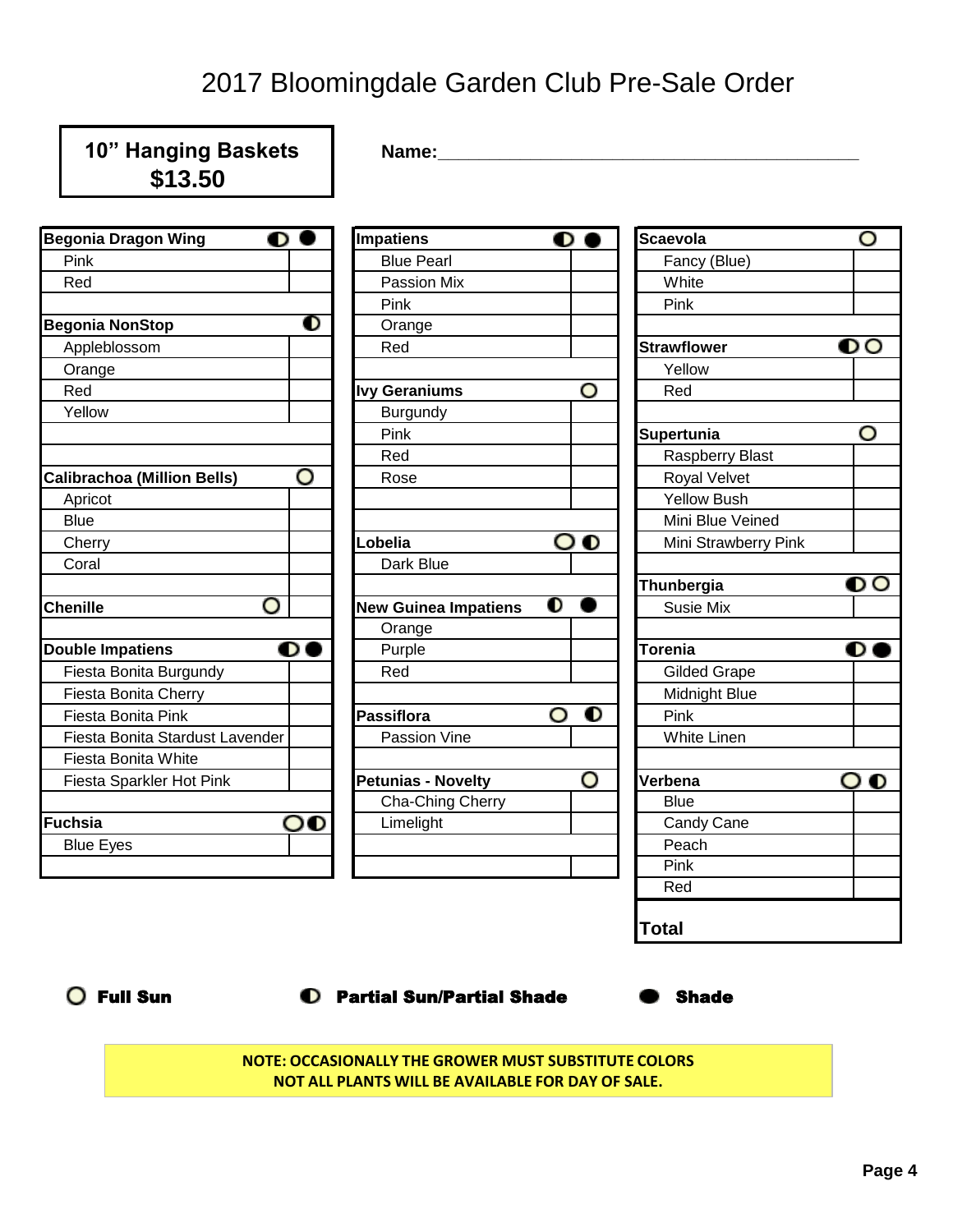| 10" Hanging Baskets<br>\$13.50          | Name:                              |                |                        |                 |
|-----------------------------------------|------------------------------------|----------------|------------------------|-----------------|
| <b>Begonia Dragon Wing</b><br>$\bullet$ | <b>Impatiens</b>                   | $\bullet$ (    | <b>Scaevola</b>        | O               |
| Pink                                    | <b>Blue Pearl</b>                  |                | Fancy (Blue)           |                 |
| Red                                     | Passion Mix                        |                | White                  |                 |
|                                         | Pink                               |                | Pink                   |                 |
| <b>Begonia NonStop</b>                  | $\mathbf 0$<br>Orange              |                |                        |                 |
| Appleblossom                            | Red                                |                | <b>Strawflower</b>     | $\bullet \circ$ |
| Orange                                  |                                    |                | Yellow                 |                 |
| Red                                     | <b>Ivy Geraniums</b>               | O              | Red                    |                 |
| Yellow                                  | <b>Burgundy</b>                    |                |                        |                 |
|                                         | Pink                               |                | Supertunia             | O               |
|                                         | Red                                |                | <b>Raspberry Blast</b> |                 |
| O<br><b>Calibrachoa (Million Bells)</b> | Rose                               |                | Royal Velvet           |                 |
| Apricot                                 |                                    |                | <b>Yellow Bush</b>     |                 |
| <b>Blue</b>                             |                                    |                | Mini Blue Veined       |                 |
| Cherry                                  | Lobelia                            | ဝ စ            | Mini Strawberry Pink   |                 |
| Coral                                   | Dark Blue                          |                |                        |                 |
|                                         |                                    |                | Thunbergia             | $\bullet \circ$ |
| O<br><b>Chenille</b>                    | <b>New Guinea Impatiens</b>        | $\mathbf 0$    | Susie Mix              |                 |
|                                         | Orange                             |                |                        |                 |
| <b>Double Impatiens</b><br>$\bullet$    | Purple                             |                | <b>Torenia</b>         | O               |
| Fiesta Bonita Burgundy                  | Red                                |                | <b>Gilded Grape</b>    |                 |
| Fiesta Bonita Cherry                    |                                    |                | Midnight Blue          |                 |
| Fiesta Bonita Pink                      | <b>Passiflora</b>                  | $\bullet$<br>O | Pink                   |                 |
| Fiesta Bonita Stardust Lavender         | Passion Vine                       |                | <b>White Linen</b>     |                 |
| Fiesta Bonita White                     |                                    |                |                        |                 |
| Fiesta Sparkler Hot Pink                | <b>Petunias - Novelty</b>          | O              | Verbena                | $\bullet$<br>O  |
|                                         | Cha-Ching Cherry                   |                | <b>Blue</b>            |                 |
| Fuchsia<br>ဝ၀                           | Limelight                          |                | Candy Cane             |                 |
| <b>Blue Eyes</b>                        |                                    |                | Peach                  |                 |
|                                         |                                    |                | Pink                   |                 |
|                                         |                                    |                | Red                    |                 |
|                                         |                                    |                | <b>Total</b>           |                 |
| <b>Full Sun</b>                         | <b>C</b> Partial Sun/Partial Shade |                | <b>Shade</b>           |                 |

**NOTE: OCCASIONALLY THE GROWER MUST SUBSTITUTE COLORS NOT ALL PLANTS WILL BE AVAILABLE FOR DAY OF SALE.**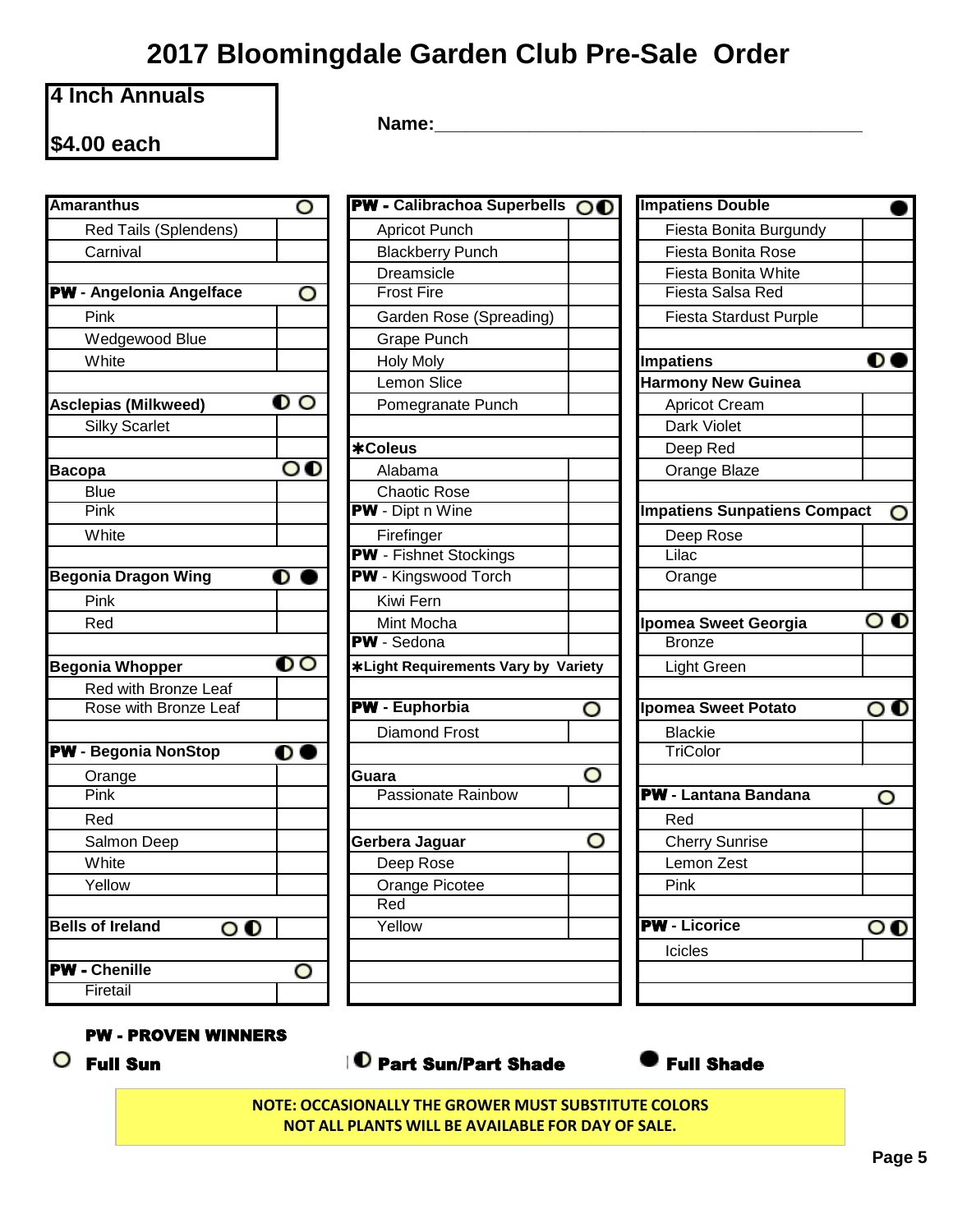## **4 Inch Annuals**

**\$4.00 each**

**Name:\_\_\_\_\_\_\_\_\_\_\_\_\_\_\_\_\_\_\_\_\_\_\_\_\_\_\_\_\_\_\_\_\_\_\_\_\_\_\_\_\_**

| <b>Amaranthus</b>                                     | PW - Calibrachoa Superbells OO<br>O                                     | <b>Impatiens Doubl</b> |
|-------------------------------------------------------|-------------------------------------------------------------------------|------------------------|
| Red Tails (Splendens)                                 | <b>Apricot Punch</b>                                                    | Fiesta Bonita          |
| Carnival                                              | <b>Blackberry Punch</b>                                                 | Fiesta Bonita          |
|                                                       | Dreamsicle                                                              | Fiesta Bonita          |
| PW - Angelonia Angelface                              | O<br><b>Frost Fire</b>                                                  | <b>Fiesta Salsa I</b>  |
| Pink                                                  | Garden Rose (Spreading)                                                 | Fiesta Stardu          |
| Wedgewood Blue                                        | Grape Punch                                                             |                        |
| White                                                 | <b>Holy Moly</b>                                                        | <b>Impatiens</b>       |
|                                                       | <b>Lemon Slice</b>                                                      | <b>Harmony New G</b>   |
| <b>Asclepias (Milkweed)</b>                           | $\mathbf{o} \circ$<br>Pomegranate Punch                                 | <b>Apricot Crean</b>   |
| <b>Silky Scarlet</b>                                  |                                                                         | Dark Violet            |
|                                                       | *Coleus                                                                 | Deep Red               |
| <b>Bacopa</b>                                         | $\mathbf{o} \mathbf{o}$<br>Alabama                                      | Orange Blaze           |
| <b>Blue</b>                                           | <b>Chaotic Rose</b>                                                     |                        |
| Pink                                                  | PW - Dipt n Wine                                                        | <b>Impatiens Sunpa</b> |
| White                                                 | Firefinger                                                              | Deep Rose              |
|                                                       | <b>PW</b> - Fishnet Stockings                                           | Lilac                  |
| <b>Begonia Dragon Wing</b>                            | <b>PW</b> - Kingswood Torch<br>$\overline{\mathbf{o}}$ $\bullet$        | Orange                 |
| Pink                                                  | Kiwi Fern                                                               |                        |
| Red                                                   | Mint Mocha                                                              | <b>Ipomea Sweet G</b>  |
|                                                       | PW - Sedona                                                             | <b>Bronze</b>          |
| <b>Begonia Whopper</b>                                | $\mathbf{O}\, \mathbf{O}$<br><b>*Light Requirements Vary by Variety</b> | Light Green            |
| Red with Bronze Leaf                                  |                                                                         |                        |
| Rose with Bronze Leaf                                 | <b>PW</b> - Euphorbia<br>O                                              | <b>Ipomea Sweet P</b>  |
|                                                       | <b>Diamond Frost</b>                                                    | <b>Blackie</b>         |
| <b>PW</b> - Begonia NonStop<br>O                      |                                                                         | TriColor               |
| Orange                                                | O<br>Guara                                                              |                        |
| Pink                                                  | Passionate Rainbow                                                      | <b>PW</b> - Lantana Ba |
| Red                                                   |                                                                         | Red                    |
| Salmon Deep                                           | O<br>Gerbera Jaguar                                                     | <b>Cherry Sunris</b>   |
| White                                                 | Deep Rose                                                               | Lemon Zest             |
| Yellow                                                | Orange Picotee                                                          | Pink                   |
|                                                       | Red                                                                     |                        |
| <b>Bells of Ireland</b><br>$\mathbf{o} \, \mathbf{o}$ | Yellow                                                                  | <b>PW</b> - Licorice   |
| <b>PW</b> - Chenille                                  |                                                                         | Icicles                |
| Firetail                                              | O                                                                       |                        |
|                                                       |                                                                         |                        |

| ranthus                                  | O                       | PW - Calibrachoa Superbells OO             |   | <b>Impatiens Double</b>        |
|------------------------------------------|-------------------------|--------------------------------------------|---|--------------------------------|
| Red Tails (Splendens)                    |                         | <b>Apricot Punch</b>                       |   | Fiesta Bonita Burgundy         |
| Carnival                                 |                         | <b>Blackberry Punch</b>                    |   | Fiesta Bonita Rose             |
|                                          |                         | Dreamsicle                                 |   | Fiesta Bonita White            |
| <b>Angelonia Angelface</b>               | O                       | <b>Frost Fire</b>                          |   | Fiesta Salsa Red               |
| Pink                                     |                         | Garden Rose (Spreading)                    |   | Fiesta Stardust Purple         |
| Wedgewood Blue                           |                         | <b>Grape Punch</b>                         |   |                                |
| White                                    |                         | <b>Holy Moly</b>                           |   | <b>Impatiens</b>               |
|                                          |                         | <b>Lemon Slice</b>                         |   | <b>Harmony New Guinea</b>      |
| epias (Milkweed)                         | $\mathbf{o} \circ$      | Pomegranate Punch                          |   | <b>Apricot Cream</b>           |
| Silky Scarlet                            |                         |                                            |   | Dark Violet                    |
|                                          |                         | *Coleus                                    |   | Deep Red                       |
| pa                                       | $\mathbf{o} \mathbf{o}$ | Alabama                                    |   | Orange Blaze                   |
| Blue                                     |                         | <b>Chaotic Rose</b>                        |   |                                |
| $\overline{\mathsf{Pink}}$               |                         | <b>PW</b> - Dipt n Wine                    |   | <b>Impatiens Sunpatiens Co</b> |
| White                                    |                         | Firefinger                                 |   | Deep Rose                      |
|                                          |                         | <b>PW</b> - Fishnet Stockings              |   | Lilac                          |
| nia Dragon Wing                          | $\bullet$               | PW - Kingswood Torch                       |   | Orange                         |
| Pink                                     |                         | Kiwi Fern                                  |   |                                |
| Red                                      |                         | Mint Mocha                                 |   | Ipomea Sweet Georgia           |
|                                          |                         | <b>PW</b> - Sedona                         |   | <b>Bronze</b>                  |
| nia Whopper                              | $\bullet\circ$          | <b>*Light Requirements Vary by Variety</b> |   | <b>Light Green</b>             |
| Red with Bronze Leaf                     |                         |                                            |   |                                |
| Rose with Bronze Leaf                    |                         | <b>PW</b> - Euphorbia                      | O | <b>Ipomea Sweet Potato</b>     |
|                                          |                         | <b>Diamond Frost</b>                       |   | <b>Blackie</b>                 |
| <b>Begonia NonStop</b>                   | $\bullet$               |                                            |   | TriColor                       |
| Orange                                   |                         | Guara                                      | O |                                |
| Pink                                     |                         | <b>Passionate Rainbow</b>                  |   | <b>PW</b> - Lantana Bandana    |
| Red                                      |                         |                                            |   | Red                            |
| Salmon Deep                              |                         | Gerbera Jaguar                             | O | <b>Cherry Sunrise</b>          |
| White                                    |                         | Deep Rose                                  |   | Lemon Zest                     |
| Yellow                                   |                         | Orange Picotee                             |   | Pink                           |
|                                          |                         | $\overline{Red}$                           |   |                                |
| of Ireland<br>$\mathbf{o} \, \mathbf{o}$ |                         | Yellow                                     |   | <b>PW</b> - Licorice           |
|                                          |                         |                                            |   | <b>Icicles</b>                 |
| <b>Chenille</b>                          | O                       |                                            |   |                                |
| Firetail                                 |                         |                                            |   |                                |

| <b>Impatiens Double</b>             |  |
|-------------------------------------|--|
| Fiesta Bonita Burgundy              |  |
| <b>Fiesta Bonita Rose</b>           |  |
| Fiesta Bonita White                 |  |
| Fiesta Salsa Red                    |  |
| <b>Fiesta Stardust Purple</b>       |  |
|                                     |  |
| <b>Impatiens</b>                    |  |
| <b>Harmony New Guinea</b>           |  |
| <b>Apricot Cream</b>                |  |
| Dark Violet                         |  |
| Deep Red                            |  |
| Orange Blaze                        |  |
|                                     |  |
| <b>Impatiens Sunpatiens Compact</b> |  |
| Deep Rose                           |  |
| Lilac                               |  |
| Orange                              |  |
|                                     |  |
| Ipomea Sweet Georgia                |  |
| <b>Bronze</b>                       |  |
| <b>Light Green</b>                  |  |
|                                     |  |
| <b>Ipomea Sweet Potato</b>          |  |
| <b>Blackie</b>                      |  |
| TriColor                            |  |
|                                     |  |
| <b>PW</b> - Lantana Bandana         |  |
| Red                                 |  |
| <b>Cherry Sunrise</b>               |  |
| Lemon Zest                          |  |
| Pink                                |  |
|                                     |  |
| <b>V</b> - Licorice                 |  |
| Icicles                             |  |
|                                     |  |
|                                     |  |

### PW - PROVEN WINNERS

## $\overline{O}$  Full Sun  $\overline{O}$  Part Sun/Part Shade  $\overline{O}$  Full Shade

**NOTE: OCCASIONALLY THE GROWER MUST SUBSTITUTE COLORS NOT ALL PLANTS WILL BE AVAILABLE FOR DAY OF SALE.**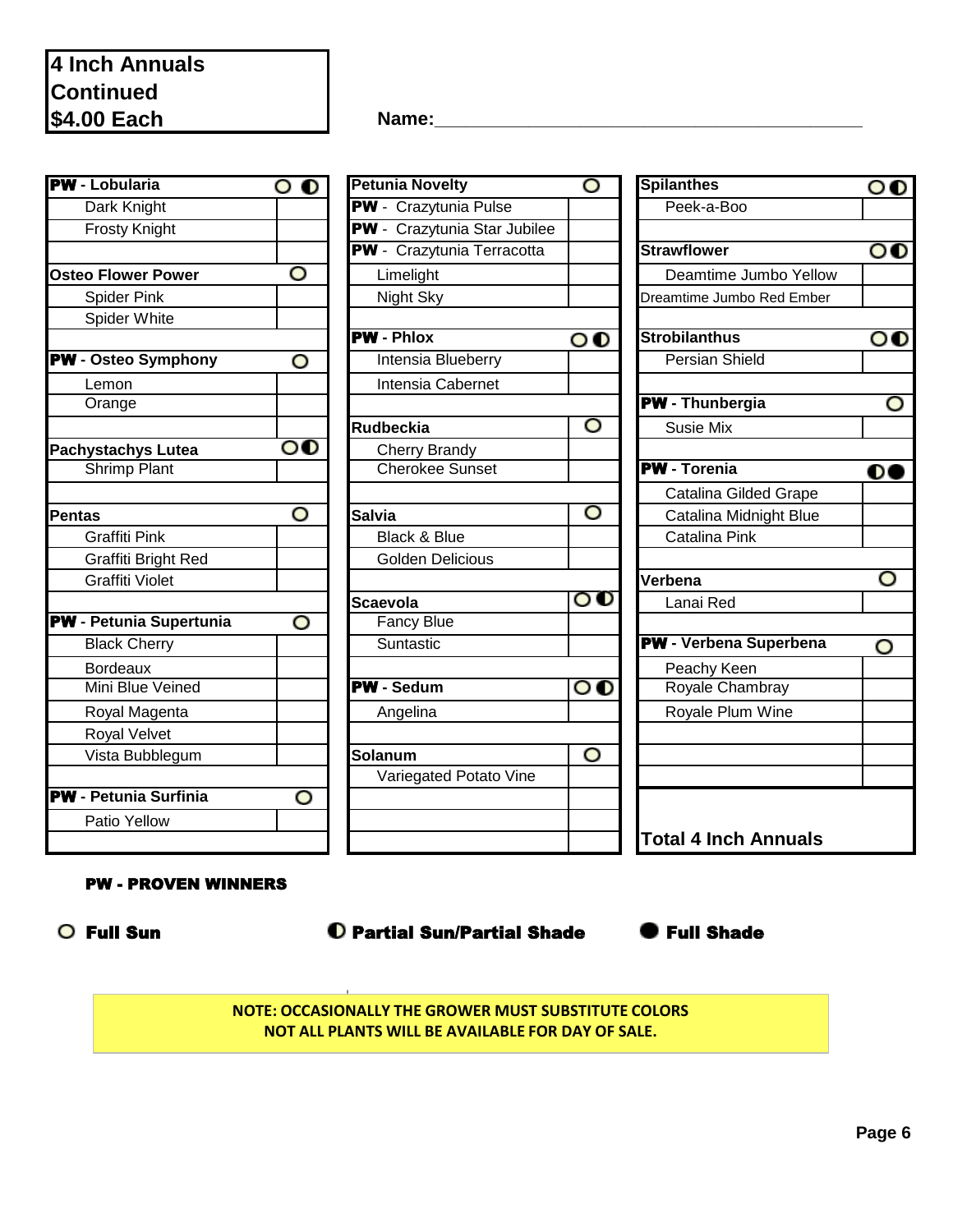| <b>PW</b> - Lobularia          | $\bullet$               | <b>Petunia Novelty</b>       | O                          | <b>Spilanthes</b>             |
|--------------------------------|-------------------------|------------------------------|----------------------------|-------------------------------|
| Dark Knight                    |                         | <b>PW</b> - Crazytunia Pulse |                            | Peek-a-Boo                    |
| <b>Frosty Knight</b>           |                         | PW - Crazytunia Star Jubilee |                            |                               |
|                                |                         | PW - Crazytunia Terracotta   |                            | <b>Strawflower</b>            |
| <b>Osteo Flower Power</b>      | O                       | Limelight                    |                            | Deamtime Jumbo Yellow         |
| <b>Spider Pink</b>             |                         | Night Sky                    |                            | Dreamtime Jumbo Red Ember     |
| Spider White                   |                         |                              |                            |                               |
|                                |                         | <b>PW</b> - Phlox            | $\mathbf{o} \, \mathbf{0}$ | <b>Strobilanthus</b>          |
| <b>PW</b> - Osteo Symphony     | O                       | Intensia Blueberry           |                            | <b>Persian Shield</b>         |
| Lemon                          |                         | Intensia Cabernet            |                            |                               |
| Orange                         |                         |                              |                            | <b>PW</b> - Thunbergia        |
|                                |                         | <b>Rudbeckia</b>             | O                          | <b>Susie Mix</b>              |
| Pachystachys Lutea             | $\mathbf{O} \mathbf{O}$ | <b>Cherry Brandy</b>         |                            |                               |
| <b>Shrimp Plant</b>            |                         | <b>Cherokee Sunset</b>       |                            | <b>PW</b> - Torenia           |
|                                |                         |                              |                            | <b>Catalina Gilded Grape</b>  |
| <b>Pentas</b>                  | O                       | <b>Salvia</b>                | O                          | Catalina Midnight Blue        |
| <b>Graffiti Pink</b>           |                         | <b>Black &amp; Blue</b>      |                            | Catalina Pink                 |
| Graffiti Bright Red            |                         | <b>Golden Delicious</b>      |                            |                               |
| <b>Graffiti Violet</b>         |                         |                              |                            | Verbena                       |
|                                |                         | <b>Scaevola</b>              | $\mathbf{o} \, \mathbf{o}$ | Lanai Red                     |
| <b>PW</b> - Petunia Supertunia | O                       | <b>Fancy Blue</b>            |                            |                               |
| <b>Black Cherry</b>            |                         | Suntastic                    |                            | <b>PW</b> - Verbena Superbena |
| <b>Bordeaux</b>                |                         |                              |                            | Peachy Keen                   |
| Mini Blue Veined               |                         | <b>PW</b> - Sedum            | $\mathbf{o} \, \mathbf{o}$ | Royale Chambray               |
| Royal Magenta                  |                         | Angelina                     |                            | Royale Plum Wine              |
| Royal Velvet                   |                         |                              |                            |                               |
| Vista Bubblegum                |                         | Solanum                      | O                          |                               |
|                                |                         | Variegated Potato Vine       |                            |                               |
| <b>PW</b> - Petunia Surfinia   | O                       |                              |                            |                               |
| Patio Yellow                   |                         |                              |                            |                               |
|                                |                         |                              |                            | Total 4 Inch Annuals          |

**Name:\_\_\_\_\_\_\_\_\_\_\_\_\_\_\_\_\_\_\_\_\_\_\_\_\_\_\_\_\_\_\_\_\_\_\_\_\_\_\_\_\_**

| Lobularia                 | $\bullet$               | <b>Petunia Novelty</b>       | O                          | <b>Spilanthes</b>             |
|---------------------------|-------------------------|------------------------------|----------------------------|-------------------------------|
| Dark Knight               |                         | PW - Crazytunia Pulse        |                            | Peek-a-Boo                    |
| <b>Frosty Knight</b>      |                         | PW - Crazytunia Star Jubilee |                            |                               |
|                           |                         | PW - Crazytunia Terracotta   |                            | <b>Strawflower</b>            |
| o Flower Power            | O                       | Limelight                    |                            | Deamtime Jumbo Yelloy         |
| <b>Spider Pink</b>        |                         | Night Sky                    |                            | Dreamtime Jumbo Red Ember     |
| Spider White              |                         |                              |                            |                               |
|                           |                         | <b>PW</b> - Phlox            | $\circ\mathbf{o}$          | <b>Strobilanthus</b>          |
| <b>Osteo Symphony</b>     | O                       | <b>Intensia Blueberry</b>    |                            | <b>Persian Shield</b>         |
| Lemon                     |                         | Intensia Cabernet            |                            |                               |
| Orange                    |                         |                              |                            | <b>PW</b> - Thunbergia        |
|                           |                         | <b>Rudbeckia</b>             | O                          | <b>Susie Mix</b>              |
| ystachys Lutea            | $\mathbf{o} \mathbf{o}$ | <b>Cherry Brandy</b>         |                            |                               |
| <b>Shrimp Plant</b>       |                         | <b>Cherokee Sunset</b>       |                            | <b>PW</b> - Torenia           |
|                           |                         |                              |                            | <b>Catalina Gilded Grape</b>  |
| as                        | O                       | <b>Salvia</b>                | O                          | Catalina Midnight Blue        |
| Graffiti Pink             |                         | Black & Blue                 |                            | Catalina Pink                 |
| Graffiti Bright Red       |                         | <b>Golden Delicious</b>      |                            |                               |
| Graffiti Violet           |                         |                              |                            | Verbena                       |
|                           |                         | <b>Scaevola</b>              | $\mathbf{o} \, \mathbf{o}$ | Lanai Red                     |
| <b>Petunia Supertunia</b> | O                       | <b>Fancy Blue</b>            |                            |                               |
| <b>Black Cherry</b>       |                         | Suntastic                    |                            | <b>PW</b> - Verbena Superbena |
| <b>Bordeaux</b>           |                         |                              |                            | Peachy Keen                   |
| Mini Blue Veined          |                         | <b>PW</b> - Sedum            | $\mathbf{o} \, \mathbf{o}$ | Royale Chambray               |
| Royal Magenta             |                         | Angelina                     |                            | Royale Plum Wine              |
| <b>Royal Velvet</b>       |                         |                              |                            |                               |
| Vista Bubblegum           |                         | Solanum                      | O                          |                               |
|                           |                         | Variegated Potato Vine       |                            |                               |
| <b>Petunia Surfinia</b>   | O                       |                              |                            |                               |
| Patio Yellow              |                         |                              |                            |                               |
|                           |                         |                              |                            | <b>Total 4 Inch Annuals</b>   |

| <b>Spilanthes</b>            |  |
|------------------------------|--|
| Peek-a-Boo                   |  |
|                              |  |
| <b>Strawflower</b>           |  |
| Deamtime Jumbo Yellow        |  |
| Dreamtime Jumbo Red Ember    |  |
| <b>Strobilanthus</b>         |  |
| <b>Persian Shield</b>        |  |
|                              |  |
| <b>PW</b> - Thunbergia       |  |
| <b>Susie Mix</b>             |  |
|                              |  |
| <b>PW</b> - Torenia          |  |
| <b>Catalina Gilded Grape</b> |  |
| Catalina Midnight Blue       |  |
| <b>Catalina Pink</b>         |  |
| Verbena                      |  |
| Lanai Red                    |  |
|                              |  |
| PW - Verbena Superbena       |  |
| Peachy Keen                  |  |
| Royale Chambray              |  |
| Royale Plum Wine             |  |
|                              |  |
|                              |  |
|                              |  |

### PW - PROVEN WINNERS

○ Full Sun **● C** Partial Sun/Partial Shade ● Full Shade



**NOTE: OCCASIONALLY THE GROWER MUST SUBSTITUTE COLORS NOT ALL PLANTS WILL BE AVAILABLE FOR DAY OF SALE.**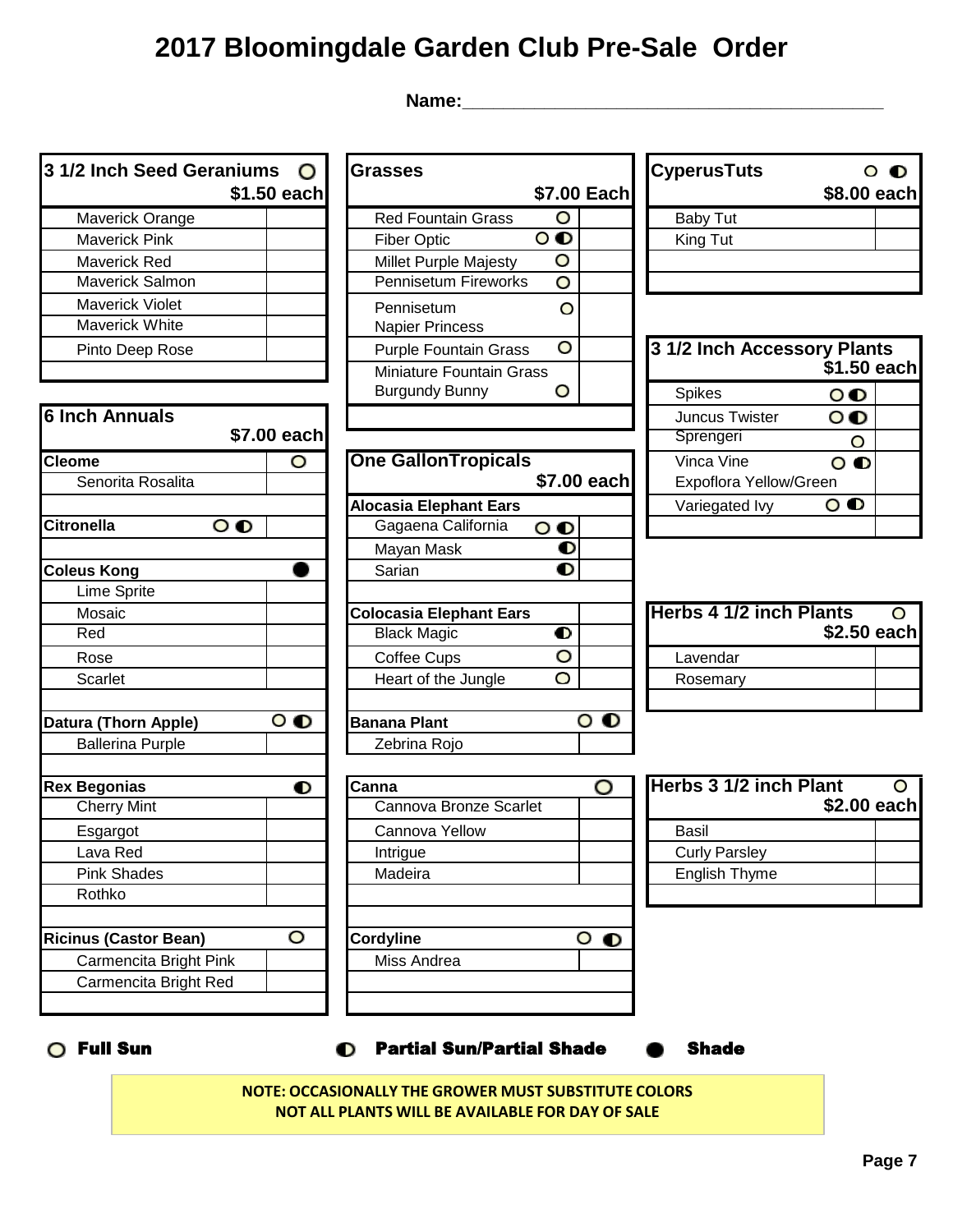**Name:\_\_\_\_\_\_\_\_\_\_\_\_\_\_\_\_\_\_\_\_\_\_\_\_\_\_\_\_\_\_\_\_\_\_\_\_\_\_\_\_\_** 

| 3 1/2 Inch Seed Geraniums         | $\mathbf{O}$            | <b>Grasses</b>                 |                         |                      | <b>CyperusTuts</b>             |                   | $\circ$ $\bullet$ |
|-----------------------------------|-------------------------|--------------------------------|-------------------------|----------------------|--------------------------------|-------------------|-------------------|
|                                   | \$1.50 each             |                                |                         | \$7.00 Each          |                                | \$8.00 each       |                   |
| Maverick Orange                   |                         | <b>Red Fountain Grass</b>      | O                       |                      | <b>Baby Tut</b>                |                   |                   |
| <b>Maverick Pink</b>              |                         | <b>Fiber Optic</b>             | $\circ$                 |                      | King Tut                       |                   |                   |
| Maverick Red                      |                         | Millet Purple Majesty          | O                       |                      |                                |                   |                   |
| Maverick Salmon                   |                         | Pennisetum Fireworks           | O                       |                      |                                |                   |                   |
| Maverick Violet                   |                         | Pennisetum                     | O                       |                      |                                |                   |                   |
| Maverick White                    |                         | <b>Napier Princess</b>         |                         |                      |                                |                   |                   |
| Pinto Deep Rose                   |                         | <b>Purple Fountain Grass</b>   | O                       |                      | 3 1/2 Inch Accessory Plants    |                   |                   |
|                                   |                         | Miniature Fountain Grass       |                         |                      |                                | \$1.50 each       |                   |
|                                   |                         | <b>Burgundy Bunny</b>          | O                       |                      | Spikes                         | $\circ$           |                   |
| <b>6 Inch Annuals</b>             |                         |                                |                         |                      | Juncus Twister                 | $\circ$ $\bullet$ |                   |
|                                   | \$7.00 each             |                                |                         |                      | Sprengeri                      | O                 |                   |
| <b>Cleome</b>                     | O                       | <b>One GallonTropicals</b>     |                         |                      | Vinca Vine                     | $\mathbf{o}$      |                   |
| Senorita Rosalita                 |                         |                                |                         | \$7.00 each          | Expoflora Yellow/Green         |                   |                   |
|                                   |                         | <b>Alocasia Elephant Ears</b>  |                         |                      | Variegated Ivy                 | $\mathbf{o}$      |                   |
| <b>Citronella</b><br>$\mathbf{o}$ |                         | Gagaena California             | $\mathbf{o} \mathbf{o}$ |                      |                                |                   |                   |
|                                   |                         | Mayan Mask                     | $\bullet$               |                      |                                |                   |                   |
| <b>Coleus Kong</b>                |                         | Sarian                         | O                       |                      |                                |                   |                   |
| <b>Lime Sprite</b>                |                         |                                |                         |                      |                                |                   |                   |
| Mosaic                            |                         | <b>Colocasia Elephant Ears</b> |                         |                      | <b>Herbs 4 1/2 inch Plants</b> |                   | O                 |
| Red                               |                         | <b>Black Magic</b>             | $\bullet$               |                      |                                | \$2.50 each       |                   |
| Rose                              |                         | Coffee Cups                    | O                       |                      | Lavendar                       |                   |                   |
| Scarlet                           |                         | Heart of the Jungle            | O                       |                      | Rosemary                       |                   |                   |
| Datura (Thorn Apple)              | $\overline{\mathbf{o}}$ | <b>Banana Plant</b>            |                         | $\circ$ o            |                                |                   |                   |
| <b>Ballerina Purple</b>           |                         | Zebrina Rojo                   |                         |                      |                                |                   |                   |
|                                   |                         |                                |                         |                      |                                |                   |                   |
| <b>Rex Begonias</b>               | $\bullet$               | Canna                          |                         | O                    | Herbs 3 1/2 inch Plant         |                   | O                 |
| <b>Cherry Mint</b>                |                         | Cannova Bronze Scarlet         |                         |                      |                                | \$2.00 each       |                   |
| Esgargot                          |                         | Cannova Yellow                 |                         |                      | Basil                          |                   |                   |
| Lava Red                          |                         | Intrigue                       |                         |                      | <b>Curly Parsley</b>           |                   |                   |
| <b>Pink Shades</b>                |                         | Madeira                        |                         |                      | English Thyme                  |                   |                   |
| Rothko                            |                         |                                |                         |                      |                                |                   |                   |
| <b>Ricinus (Castor Bean)</b>      | O                       | <b>Cordyline</b>               |                         | $\circ$<br>$\bullet$ |                                |                   |                   |
| Carmencita Bright Pink            |                         | Miss Andrea                    |                         |                      |                                |                   |                   |
| Carmencita Bright Red             |                         |                                |                         |                      |                                |                   |                   |
|                                   |                         |                                |                         |                      |                                |                   |                   |

**NOTE: OCCASIONALLY THE GROWER MUST SUBSTITUTE COLORS NOT ALL PLANTS WILL BE AVAILABLE FOR DAY OF SALE**